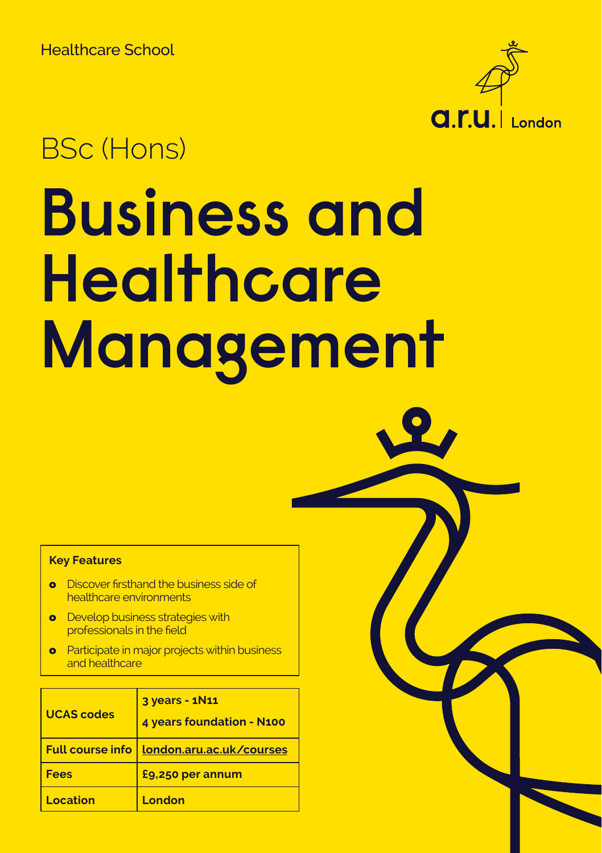

# BSc (Hons)

# **Business and Healthcare Management**

#### **Key Features**

- **o** Discover firsthand the business side of healthcare environments
- **o** Develop business strategies with professionals in the field
- **Participate in major projects within business** and healthcare

| <b>UCAS codes</b> | 3 years - 1N11<br>4 years foundation - N100 |
|-------------------|---------------------------------------------|
|                   | Full course info   london.aru.ac.uk/courses |
| <b>Fees</b>       | £9,250 per annum                            |
| Location          | London                                      |